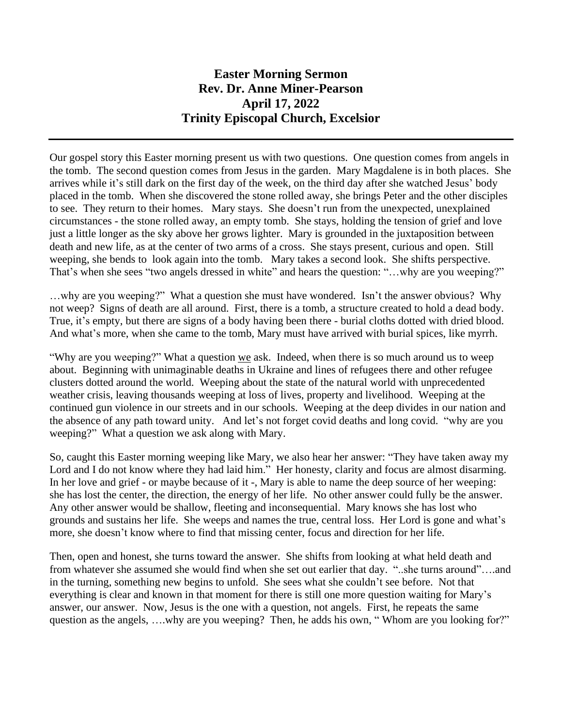## **Easter Morning Sermon Rev. Dr. Anne Miner-Pearson April 17, 2022 Trinity Episcopal Church, Excelsior**

Our gospel story this Easter morning present us with two questions. One question comes from angels in the tomb. The second question comes from Jesus in the garden. Mary Magdalene is in both places. She arrives while it's still dark on the first day of the week, on the third day after she watched Jesus' body placed in the tomb. When she discovered the stone rolled away, she brings Peter and the other disciples to see. They return to their homes. Mary stays. She doesn't run from the unexpected, unexplained circumstances - the stone rolled away, an empty tomb. She stays, holding the tension of grief and love just a little longer as the sky above her grows lighter. Mary is grounded in the juxtaposition between death and new life, as at the center of two arms of a cross. She stays present, curious and open. Still weeping, she bends to look again into the tomb. Mary takes a second look. She shifts perspective. That's when she sees "two angels dressed in white" and hears the question: "…why are you weeping?"

…why are you weeping?" What a question she must have wondered. Isn't the answer obvious? Why not weep? Signs of death are all around. First, there is a tomb, a structure created to hold a dead body. True, it's empty, but there are signs of a body having been there - burial cloths dotted with dried blood. And what's more, when she came to the tomb, Mary must have arrived with burial spices, like myrrh.

"Why are you weeping?" What a question we ask. Indeed, when there is so much around us to weep about. Beginning with unimaginable deaths in Ukraine and lines of refugees there and other refugee clusters dotted around the world. Weeping about the state of the natural world with unprecedented weather crisis, leaving thousands weeping at loss of lives, property and livelihood. Weeping at the continued gun violence in our streets and in our schools. Weeping at the deep divides in our nation and the absence of any path toward unity. And let's not forget covid deaths and long covid. "why are you weeping?" What a question we ask along with Mary.

So, caught this Easter morning weeping like Mary, we also hear her answer: "They have taken away my Lord and I do not know where they had laid him." Her honesty, clarity and focus are almost disarming. In her love and grief - or maybe because of it -, Mary is able to name the deep source of her weeping: she has lost the center, the direction, the energy of her life. No other answer could fully be the answer. Any other answer would be shallow, fleeting and inconsequential. Mary knows she has lost who grounds and sustains her life. She weeps and names the true, central loss. Her Lord is gone and what's more, she doesn't know where to find that missing center, focus and direction for her life.

Then, open and honest, she turns toward the answer. She shifts from looking at what held death and from whatever she assumed she would find when she set out earlier that day. "..she turns around"....and in the turning, something new begins to unfold. She sees what she couldn't see before. Not that everything is clear and known in that moment for there is still one more question waiting for Mary's answer, our answer. Now, Jesus is the one with a question, not angels. First, he repeats the same question as the angels, ….why are you weeping? Then, he adds his own, " Whom are you looking for?"